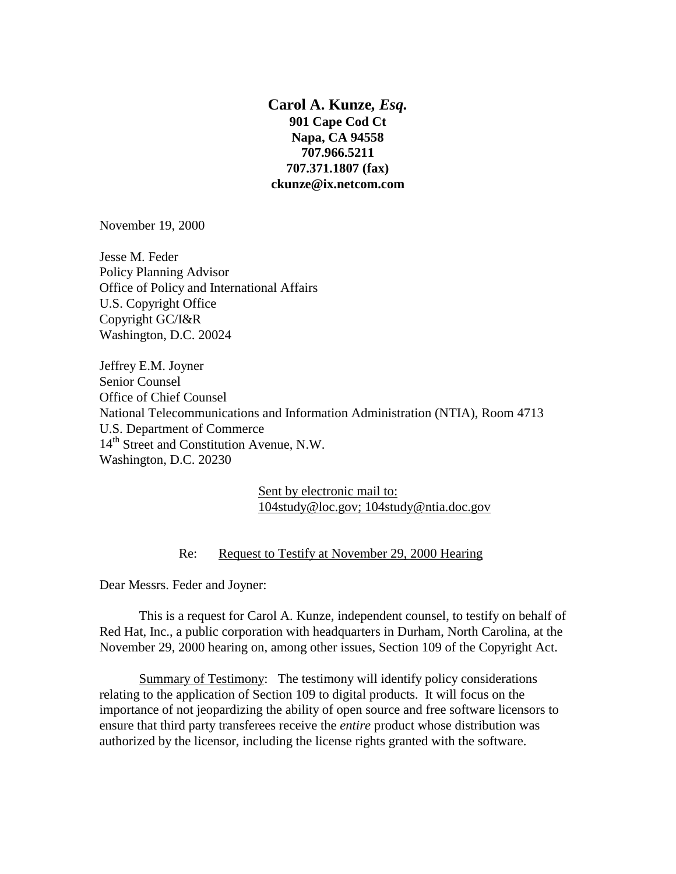**Carol A. Kunze***, Esq.* **901 Cape Cod Ct Napa, CA 94558 707.966.5211 707.371.1807 (fax) ckunze@ix.netcom.com** 

November 19, 2000

Jesse M. Feder Policy Planning Advisor Office of Policy and International Affairs U.S. Copyright Office Copyright GC/I&R Washington, D.C. 20024

Jeffrey E.M. Joyner Senior Counsel Office of Chief Counsel National Telecommunications and Information Administration (NTIA), Room 4713 U.S. Department of Commerce 14<sup>th</sup> Street and Constitution Avenue, N.W. Washington, D.C. 20230

> Sent by electronic mail to: 104study@loc.gov; 104study@ntia.doc.gov

## Re: Request to Testify at November 29, 2000 Hearing

Dear Messrs. Feder and Joyner:

This is a request for Carol A. Kunze, independent counsel, to testify on behalf of Red Hat, Inc., a public corporation with headquarters in Durham, North Carolina, at the November 29, 2000 hearing on, among other issues, Section 109 of the Copyright Act.

Summary of Testimony: The testimony will identify policy considerations relating to the application of Section 109 to digital products. It will focus on the importance of not jeopardizing the ability of open source and free software licensors to ensure that third party transferees receive the *entire* product whose distribution was authorized by the licensor, including the license rights granted with the software.